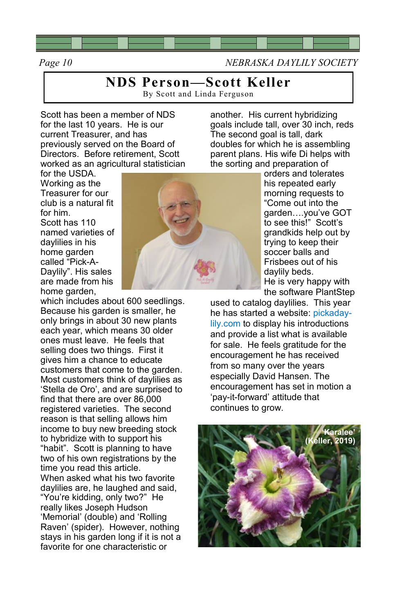

*Page 10 NEBRASKA DAYLILY SOCIETY*

## **NDS Person—Scott Keller**

By Scott and Linda Ferguson

Scott has been a member of NDS for the last 10 years. He is our current Treasurer, and has previously served on the Board of Directors. Before retirement, Scott worked as an agricultural statistician another. His current hybridizing goals include tall, over 30 inch, reds The second goal is tall, dark doubles for which he is assembling parent plans. His wife Di helps with the sorting and preparation of

for the USDA. Working as the Treasurer for our club is a natural fit for him. Scott has 110 named varieties of daylilies in his home garden called "Pick-A-Daylily". His sales are made from his home garden,

which includes about 600 seedlings. Because his garden is smaller, he only brings in about 30 new plants each year, which means 30 older ones must leave. He feels that selling does two things. First it gives him a chance to educate customers that come to the garden. Most customers think of daylilies as 'Stella de Oro', and are surprised to find that there are over 86,000 registered varieties. The second reason is that selling allows him income to buy new breeding stock to hybridize with to support his "habit". Scott is planning to have two of his own registrations by the time you read this article. When asked what his two favorite daylilies are, he laughed and said, "You're kidding, only two?" He really likes Joseph Hudson 'Memorial' (double) and 'Rolling Raven' (spider). However, nothing stays in his garden long if it is not a favorite for one characteristic or



orders and tolerates his repeated early morning requests to "Come out into the garden….you've GOT to see this!" Scott's grandkids help out by trying to keep their soccer balls and Frisbees out of his daylily beds. He is very happy with the software PlantStep

used to catalog daylilies. This year he has started a website: pickadaylily.com to display his introductions and provide a list what is available for sale. He feels gratitude for the encouragement he has received from so many over the years especially David Hansen. The encouragement has set in motion a 'pay-it-forward' attitude that continues to grow.